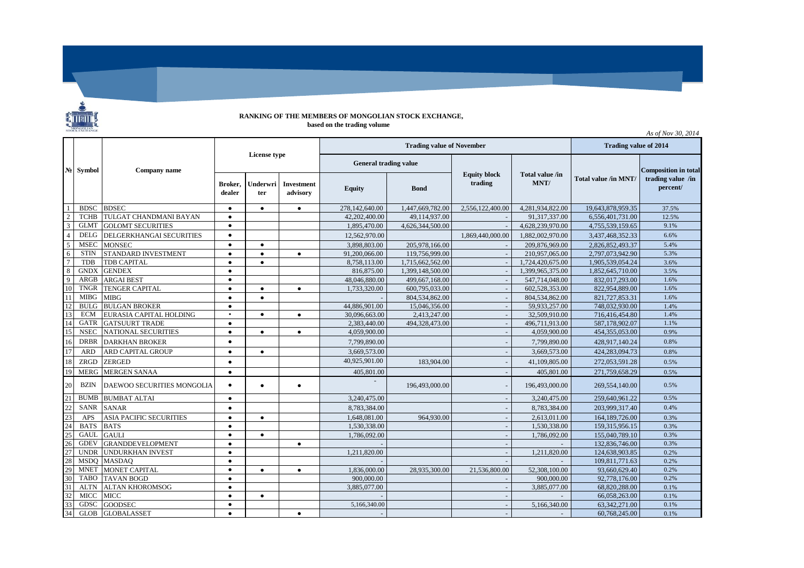## **RANKING OF THE MEMBERS OF MONGOLIAN STOCK EXCHANGE, based on the trading volume**

*As of Nov 30, 2014*

٠

|                 | No Symbol   | Company name                      | License type      |                 |                               |                              | <b>Trading value of November</b> | <b>Trading value of 2014</b>   |                         |                      |                               |
|-----------------|-------------|-----------------------------------|-------------------|-----------------|-------------------------------|------------------------------|----------------------------------|--------------------------------|-------------------------|----------------------|-------------------------------|
|                 |             |                                   |                   |                 |                               | <b>General trading value</b> |                                  |                                |                         |                      | <b>Composition in total</b>   |
|                 |             |                                   | Broker.<br>dealer | Underwri<br>ter | <b>Investment</b><br>advisory | <b>Equity</b>                | <b>B</b> ond                     | <b>Equity block</b><br>trading | Total value /in<br>MNT/ | Total value /in MNT/ | trading value /in<br>percent/ |
|                 | <b>BDSC</b> | <b>BDSEC</b>                      | $\bullet$         | $\bullet$       | $\bullet$                     | 278,142,640.00               | 1,447,669,782.00                 | 2,556,122,400.00               | 4,281,934,822.00        | 19.643.878.959.35    | 37.5%                         |
| $\overline{2}$  | <b>TCHB</b> | TULGAT CHANDMANI BAYAN            | $\bullet$         |                 |                               | 42,202,400.00                | 49,114,937.00                    |                                | 91,317,337.00           | 6,556,401,731.00     | 12.5%                         |
| 3               | <b>GLMT</b> | <b>GOLOMT SECURITIES</b>          | $\bullet$         |                 |                               | 1.895,470.00                 | 4,626,344,500.00                 |                                | 4,628,239,970.00        | 4.755.539.159.65     | 9.1%                          |
| $\Delta$        | DELG        | DELGERKHANGAI SECURITIES          | ٠                 |                 |                               | 12,562,970.00                |                                  | 1,869,440,000.00               | 1,882,002,970.00        | 3,437,468,352.33     | 6.6%                          |
| 5               | <b>MSEC</b> | <b>MONSEC</b>                     | $\bullet$         | $\bullet$       |                               | 3,898,803.00                 | 205,978,166.00                   |                                | 209,876,969.00          | 2,826,852,493.37     | 5.4%                          |
| 6               | <b>STIN</b> | STANDARD INVESTMENT               | $\bullet$         | $\bullet$       | $\bullet$                     | 91,200,066.00                | 119,756,999.00                   |                                | 210,957,065.00          | 2,797,073,942.90     | 5.3%                          |
|                 | <b>TDB</b>  | <b>TDB CAPITAL</b>                | $\bullet$         | $\bullet$       |                               | 8,758,113.00                 | 1,715,662,562.00                 |                                | 1,724,420,675.00        | 1,905,539,054.24     | 3.6%                          |
| 8               | <b>GNDX</b> | <b>GENDEX</b>                     | ٠                 |                 |                               | 816,875.00                   | 1,399,148,500.00                 |                                | 1,399,965,375.00        | 1,852,645,710.00     | 3.5%                          |
| 9               | <b>ARGB</b> | <b>ARGAI BEST</b>                 | $\bullet$         |                 |                               | 48,046,880.00                | 499,667,168.00                   |                                | 547,714,048.00          | 832,017,293.00       | 1.6%                          |
| 10              | <b>TNGR</b> | <b>TENGER CAPITAL</b>             | $\bullet$         | $\bullet$       | $\bullet$                     | 1,733,320.00                 | 600,795,033.00                   |                                | 602,528,353.00          | 822,954,889.00       | 1.6%                          |
|                 | <b>MIBG</b> | <b>MIBG</b>                       | $\bullet$         | $\bullet$       |                               |                              | 804,534,862.00                   |                                | 804,534,862.00          | 821,727,853.31       | 1.6%                          |
| 12              | <b>BULG</b> | <b>BULGAN BROKER</b>              | ٠                 |                 |                               | 44,886,901.00                | 15,046,356.00                    |                                | 59,933,257.00           | 748,032,930.00       | 1.4%                          |
| 13              | <b>ECM</b>  | EURASIA CAPITAL HOLDING           | $\blacksquare$    | $\bullet$       | $\bullet$                     | 30,096,663.00                | 2,413,247.00                     |                                | 32,509,910.00           | 716,416,454.80       | 1.4%                          |
| 14              | <b>GATR</b> | <b>GATSUURT TRADE</b>             | $\bullet$         |                 |                               | 2,383,440.00                 | 494,328,473.00                   |                                | 496,711,913.00          | 587,178,902.07       | 1.1%                          |
| 15              | <b>NSEC</b> | <b>NATIONAL SECURITIES</b>        | ٠                 | $\bullet$       | $\bullet$                     | 4,059,900.00                 |                                  |                                | 4.059.900.00            | 454,355,053.00       | 0.9%                          |
| 16              | <b>DRBR</b> | <b>DARKHAN BROKER</b>             |                   |                 |                               | 7,799,890.00                 |                                  |                                | 7,799,890.00            | 428,917,140.24       | 0.8%                          |
| 17              | <b>ARD</b>  | <b>ARD CAPITAL GROUP</b>          | $\bullet$         | $\bullet$       |                               | 3,669,573.00                 |                                  |                                | 3,669,573.00            | 424,283,094.73       | 0.8%                          |
| 18              | ZRGD        | <b>ZERGED</b>                     | $\bullet$         |                 |                               | 40,925,901.00                | 183,904.00                       |                                | 41,109,805.00           | 272,053,591.28       | 0.5%                          |
| 19              | <b>MERG</b> | <b>MERGEN SANAA</b>               | $\bullet$         |                 |                               | 405,801.00                   |                                  |                                | 405,801.00              | 271,759,658.29       | 0.5%                          |
| 20              | <b>BZIN</b> | <b>DAEWOO SECURITIES MONGOLIA</b> | $\bullet$         | $\bullet$       | $\bullet$                     |                              | 196.493,000.00                   |                                | 196,493,000.00          | 269,554,140.00       | 0.5%                          |
| 21              | <b>BUMB</b> | <b>BUMBAT ALTAI</b>               | $\bullet$         |                 |                               | 3,240,475.00                 |                                  |                                | 3,240,475.00            | 259,640,961.22       | 0.5%                          |
| 22              | <b>SANR</b> | <b>SANAR</b>                      | $\bullet$         |                 |                               | 8,783,384.00                 |                                  |                                | 8,783,384.00            | 203,999,317.40       | 0.4%                          |
| 23              | <b>APS</b>  | <b>ASIA PACIFIC SECURITIES</b>    | $\bullet$         | $\bullet$       |                               | 1,648,081.00                 | 964,930.00                       |                                | 2,613,011.00            | 164, 189, 726.00     | 0.3%                          |
| $\overline{24}$ | <b>BATS</b> | <b>BATS</b>                       | $\bullet$         |                 |                               | 1.530.338.00                 |                                  |                                | 1,530,338.00            | 159,315,956.15       | 0.3%                          |
| 25              | <b>GAUL</b> | <b>GAULI</b>                      | $\bullet$         | $\bullet$       |                               | 1.786.092.00                 |                                  |                                | 1,786,092.00            | 155,040,789.10       | 0.3%                          |
| 26              | <b>GDEV</b> | <b>GRANDDEVELOPMENT</b>           | $\bullet$         |                 | $\bullet$                     |                              |                                  |                                |                         | 132,836,746.00       | 0.3%                          |
| 27              | <b>UNDR</b> | <b>UNDURKHAN INVEST</b>           | $\bullet$         |                 |                               | 1,211,820.00                 |                                  |                                | 1,211,820.00            | 124,638,903.85       | 0.2%                          |
| 28              | <b>MSDO</b> | <b>MASDAQ</b>                     | $\bullet$         |                 |                               |                              |                                  |                                |                         | 109.811.771.63       | 0.2%                          |
| 29              | <b>MNET</b> | <b>MONET CAPITAL</b>              | ٠                 | $\bullet$       | $\bullet$                     | 1,836,000.00                 | 28,935,300.00                    | 21,536,800.00                  | 52,308,100.00           | 93,660,629.40        | 0.2%                          |
| 30              | <b>TABO</b> | <b>TAVAN BOGD</b>                 | $\bullet$         |                 |                               | 900,000.00                   |                                  |                                | 900,000.00              | 92,778,176.00        | 0.2%                          |
| 31              | <b>ALTN</b> | <b>ALTAN KHOROMSOG</b>            | $\bullet$         |                 |                               | 3,885,077.00                 |                                  |                                | 3,885,077.00            | 68,820,288.00        | 0.1%                          |
| 32              | <b>MICC</b> | <b>MICC</b>                       | ٠                 | $\bullet$       |                               |                              |                                  |                                |                         | 66,058,263.00        | 0.1%                          |
| 33              | <b>GDSC</b> | <b>GOODSEC</b>                    | $\bullet$         |                 |                               | 5,166,340.00                 |                                  |                                | 5,166,340.00            | 63,342,271.00        | 0.1%                          |
| 34              | <b>GLOB</b> | <b>GLOBALASSET</b>                | ٠                 |                 | $\bullet$                     |                              |                                  |                                |                         | 60,768,245.00        | 0.1%                          |